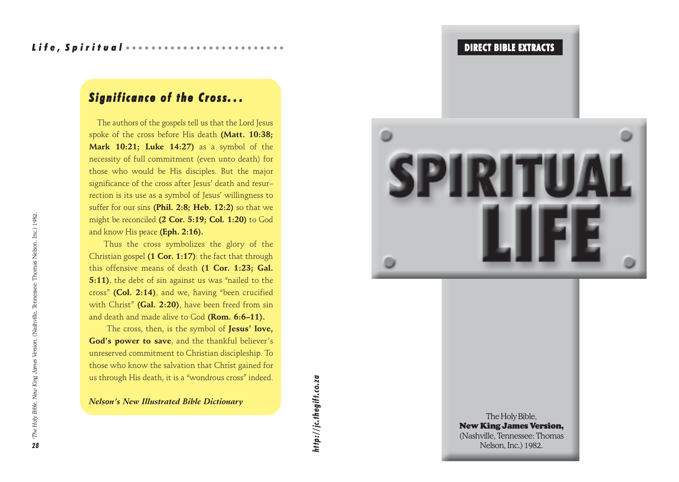### ○○○○○○○○○○○○○○○○○○○○○○○○○○○○○○○○○○ ○○○○○ DIRECT BIBLE EXTRACTS DIRECT BIBLE EXTRACTS

#### Life, Spiritual .....................

### *Significance of the Cross of the Cross. . .*

 The authors of the gospels tell us that the Lord Jesus spoke of the cross before His death **(Matt. 10:38; Mark 10:21; Luke 14:27)** as a symbol of the necessity of full commitment (even unto death) for those who would be His disciples. But the major significance of the cross after Jesus' death and resur– rection is its use as a symbol of Jesus' willingness to suffer for our sins **(Phil. 2:8; Heb. 12:2)** so that we might be reconciled **(2 Cor. 5:19; Col. 1:20)** to God and know His peace **(Eph. 2:16).**

Thus the cross symbolizes the glory of the Christian gospel **(1 Cor. 1:17)**: the fact that through this offensive means of death **(1 Cor. 1:23; Gal. 5:11)**, the debt of sin against us was "nailed to the cross" **(Col. 2:14)**, and we, having "been crucified with Christ" **(Gal. 2:20)**, have been freed from sin and death and made alive to God **(Rom. 6:6–11).**

 The cross, then, is the symbol of **Jesus' love, God's power to save**, and the thankful believer's unreserved commitment to Christian discipleship. To those who know the salvation that Christ gained for us through His death, it is a "wondrous cross" indeed.

*Nelson's New Illustrated Bible Dictionary*



The Holy Bible, New King James Version, (Nashville, Tennessee: Thomas **28**<br> *28* Nelson's New Illustrated Bible Dictionary<br> **28** Nelson's New Illustrated Bible Dictionary<br> **28** New King James Ver<br> **28** New King James Ver<br> **28** New King James Ver<br> **28** Nelson, Inc.) 1982.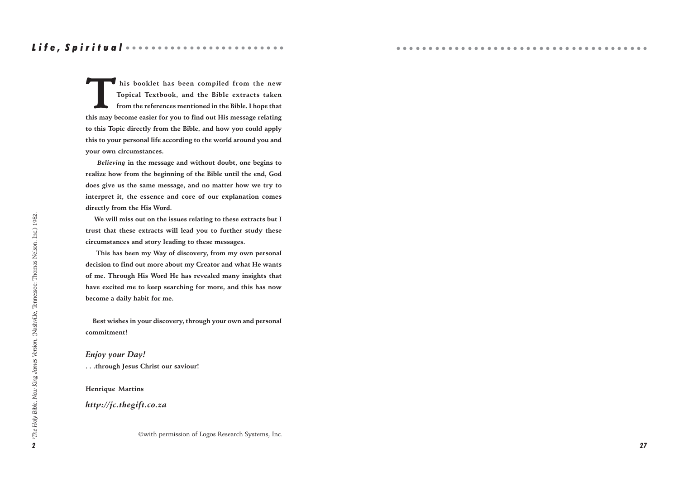| Life, Spiritual |  |  |  |  |  |  |  |  |  |  |  |  |  |  |  |  |  |  |  |  |  |  |
|-----------------|--|--|--|--|--|--|--|--|--|--|--|--|--|--|--|--|--|--|--|--|--|--|
|-----------------|--|--|--|--|--|--|--|--|--|--|--|--|--|--|--|--|--|--|--|--|--|--|

This booklet has been compiled from the new<br>Topical Textbook, and the Bible extracts taken<br>from the references mentioned in the Bible. I hope that **Topical Textbook, and the Bible extracts taken from the references mentioned in the Bible. I hope that this may become easier for you to find out His message relating to this Topic directly from the Bible, and how you could apply this to your personal life according to the world around you and your own circumstances.**

 *Believing* **in the message and without doubt, one begins to realize how from the beginning of the Bible until the end, God does give us the same message, and no matter how we try to interpret it, the essence and core of our explanation comes directly from the His Word.**

 **We will miss out on the issues relating to these extracts but I trust that these extracts will lead you to further study these circumstances and story leading to these messages.**

 **This has been my Way of discovery, from my own personal decision to find out more about my Creator and what He wants of me. Through His Word He has revealed many insights that have excited me to keep searching for more, and this has now become a daily habit for me.**

 **Best wishes in your discovery, through your own and personal commitment!**

#### *Enjoy your Day!*

**. . .through Jesus Christ our saviour!**

#### **Henrique Martins**

*http://jc.thegift.co.za*

©with permission of Logos Research Systems, Inc.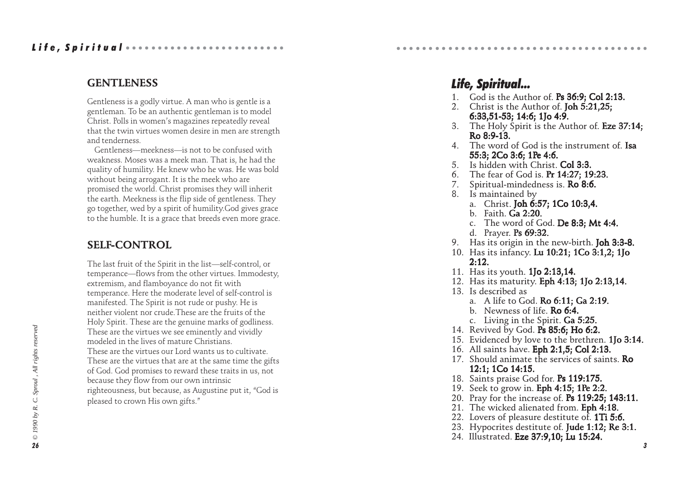#### **GENTLENESS**

Gentleness is a godly virtue. A man who is gentle is a gentleman. To be an authentic gentleman is to model Christ. Polls in women's magazines repeatedly reveal that the twin virtues women desire in men are strength and tenderness.

Gentleness—meekness—is not to be confused with weakness. Moses was a meek man. That is, he had the quality of humility. He knew who he was. He was bold without being arrogant. It is the meek who are promised the world. Christ promises they will inherit the earth. Meekness is the flip side of gentleness. They go together, wed by a spirit of humility.God gives grace to the humble. It is a grace that breeds even more grace.

#### **SELF-CONTROL**

The last fruit of the Spirit in the list—self-control, or temperance—flows from the other virtues. Immodesty, extremism, and flamboyance do not fit with temperance. Here the moderate level of self-control is manifested. The Spirit is not rude or pushy. He is neither violent nor crude.These are the fruits of the Holy Spirit. These are the genuine marks of godliness. These are the virtues we see eminently and vividly modeled in the lives of mature Christians. These are the virtues our Lord wants us to cultivate. These are the virtues that are at the same time the gifts of God. God promises to reward these traits in us, not because they flow from our own intrinsic righteousness, but because, as Augustine put it, "God is pleased to crown His own gifts."

### Life, Spiritual...

- 1. God is the Author of. **Ps 36:9: Col 2:13.**
- 2. Christ is the Author of. **Joh 5:21,25:** 6:33,51-53; 14:6; 1Jo 4:9.

○○○○○○○○○○○○○○○○○○○○○○○○○○○○○○○○○○ ○○○○○

- 3. The Holy Spirit is the Author of. **Eze 37:14;**  $R_0$   $8:9-13$ .
- 4. The word of God is the instrument of Isa 55:3; 2Co 3:6; 1Pe 4:6.
- 5. Is hidden with Christ. **Col 3:3.**
- 6. The fear of God is. **Pr 14:27: 19:23.**
- 7. Spiritual-mindedness is. Ro 8:6.
- 8. Is maintained by
	- a. Christ. Joh 6:57: 1Co 10:3.4.
	- b. Faith. Ga 2:20.
	- c. The word of God. De  $8:3$ : Mt  $4:4$ .
	- d. Prayer. **Ps 69:32.**
- 9. Has its origin in the new-birth. **Joh 3:3-8.**
- 10. Has its infancy. Lu 10:21; 1Co 3:1,2; 1Jo  $2.12.$
- 11. Has its youth. **1Jo 2:13.14.**
- 12. Has its maturity. Eph 4:13; 1Jo 2:13,14.
- 13. Is described as
	- a. A life to God. Ro  $6:11:$  Ga  $2:19$ .
	- b. Newness of life.  $\text{Ro } 6:4$ .
	- c. Living in the Spirit. **Ga 5:25.**
- 14. Revived by God. Ps  $85:6$ ; Ho 6:2.
- 15. Evidenced by love to the brethren. 1Jo 3:14.
- 16. All saints have. **Eph 2:1.5: Col 2:13.**
- 17. Should animate the services of saints. Ro 12:1: 1Co 14:15.
- 18. Saints praise God for. **Ps 119:175.**
- 19. Seek to grow in. Eph 4:15; 1Pe 2:2.
- 20. Pray for the increase of. Ps  $119:25: 143:11$ .
- 21. The wicked alienated from. Eph  $4:18$ .
- 22. Lovers of pleasure destitute of 1Ti 5:6.
- 23. Hypocrites destitute of. Jude 1:12: Re 3:1.
- 24. Illustrated. Eze 37:9,10; Lu 15:24.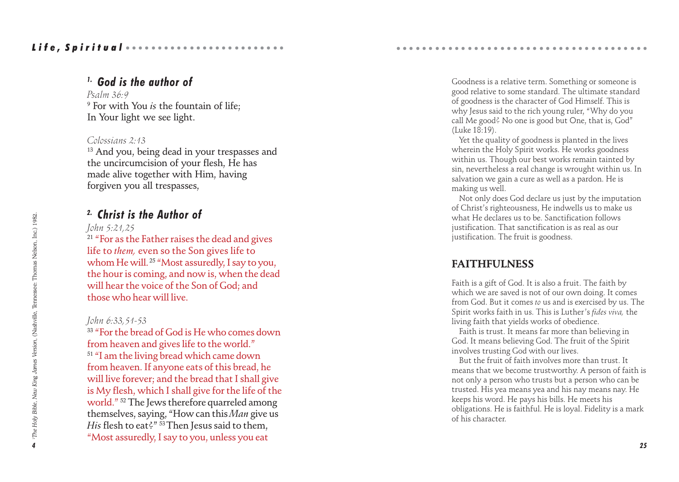### *1. God is the author of*

*Psalm 36:9* 9 For with You *is* the fountain of life; In Your light we see light.

#### *Colossians 2:13*

<sup>13</sup> And you, being dead in your trespasses and the uncircumcision of your flesh, He has made alive together with Him, having forgiven you all trespasses,

### *2. Christ is the Author of*

*John 5:21,25*

<sup>21</sup> "For as the Father raises the dead and gives life to *them,* even so the Son gives life to whom He will.<sup>25 "</sup>Most assuredly, I say to you, the hour is coming, and now is, when the dead will hear the voice of the Son of God; and those who hear will live.

#### *John 6:33,51-53*

<sup>33</sup> "For the bread of God is He who comes down from heaven and gives life to the world." <sup>51</sup> "I am the living bread which came down from heaven. If anyone eats of this bread, he will live forever; and the bread that I shall give is My flesh, which I shall give for the life of the world." 52 The Jews therefore quarreled among themselves, saying, "How can this *Man* give us *His* flesh to eat?"<sup>53</sup> Then Jesus said to them, "Most assuredly, I say to you, unless you eat

Goodness is a relative term. Something or someone is good relative to some standard. The ultimate standard of goodness is the character of God Himself. This is why Jesus said to the rich young ruler, "Why do you call Me good? No one is good but One, that is, God" (Luke 18:19).

○○○○○○○○○○○○○○○○○○○○○○○○○○○○○○○○○○ ○○○○○

Yet the quality of goodness is planted in the lives wherein the Holy Spirit works. He works goodness within us. Though our best works remain tainted by sin, nevertheless a real change is wrought within us. In salvation we gain a cure as well as a pardon. He is making us well.

Not only does God declare us just by the imputation of Christ's righteousness, He indwells us to make us what He declares us to be. Sanctification follows justification. That sanctification is as real as our justification. The fruit is goodness.

### **FAITHFULNESS**

Faith is a gift of God. It is also a fruit. The faith by which we are saved is not of our own doing. It comes from God. But it comes *to* us and is exercised by us. The Spirit works faith in us. This is Luther's *fides viva,* the living faith that yields works of obedience.

Faith is trust. It means far more than believing in God. It means believing God. The fruit of the Spirit involves trusting God with our lives.

But the fruit of faith involves more than trust. It means that we become trustworthy. A person of faith is not only a person who trusts but a person who can be trusted. His yea means yea and his nay means nay. He keeps his word. He pays his bills. He meets his obligations. He is faithful. He is loyal. Fidelity is a mark of his character.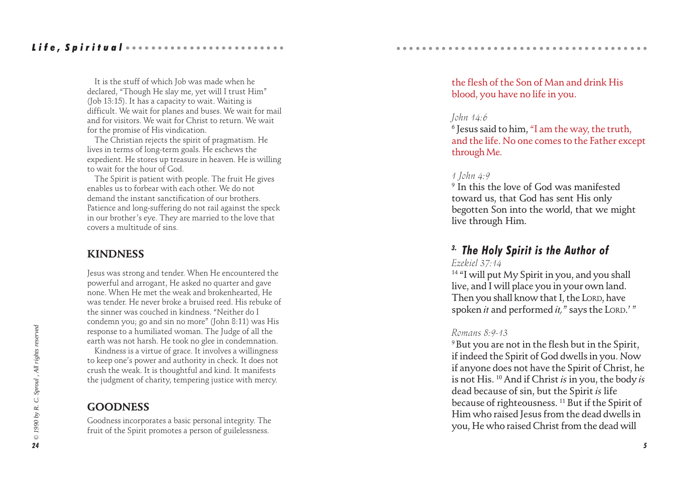It is the stuff of which Job was made when he declared, "Though He slay me, yet will I trust Him" (Job 13:15). It has a capacity to wait. Waiting is difficult. We wait for planes and buses. We wait for mail and for visitors. We wait for Christ to return. We wait for the promise of His vindication.

The Christian rejects the spirit of pragmatism. He lives in terms of long-term goals. He eschews the expedient. He stores up treasure in heaven. He is willing to wait for the hour of God.

The Spirit is patient with people. The fruit He gives enables us to forbear with each other. We do not demand the instant sanctification of our brothers. Patience and long-suffering do not rail against the speck in our brother's eye. They are married to the love that covers a multitude of sins.

#### **KINDNESS**

Jesus was strong and tender. When He encountered the powerful and arrogant, He asked no quarter and gave none. When He met the weak and brokenhearted, He was tender. He never broke a bruised reed. His rebuke of the sinner was couched in kindness. "Neither do I condemn you; go and sin no more" (John 8:11) was His response to a humiliated woman. The Judge of all the earth was not harsh. He took no glee in condemnation.

Kindness is a virtue of grace. It involves a willingness to keep one's power and authority in check. It does not crush the weak. It is thoughtful and kind. It manifests the judgment of charity, tempering justice with mercy.

#### **GOODNESS**

Goodness incorporates a basic personal integrity. The fruit of the Spirit promotes a person of guilelessness.

the flesh of the Son of Man and drink His blood, you have no life in you.

○○○○○○○○○○○○○○○○○○○○○○○○○○○○○○○○○○ ○○○○○

#### *John 14:6*

 $^6$  Jesus said to him, "I am the way, the truth, and the life. No one comes to the Father except through Me.

#### *1 John 4:9*

9 In this the love of God was manifested toward us, that God has sent His only begotten Son into the world, that we might live through Him.

### *3. The Holy Spirit is the Author of*

#### *Ezekiel 37:14*

<sup>14 "</sup>I will put My Spirit in you, and you shall live, and I will place you in your own land. Then you shall know that I, the LORD, have spoken *it* and performed *it,*" says the LORD.' "

#### *Romans 8:9-13*

<sup>9</sup> But you are not in the flesh but in the Spirit. if indeed the Spirit of God dwells in you. Now if anyone does not have the Spirit of Christ, he is not His. 10 And if Christ *is* in you, the body *is* dead because of sin, but the Spirit *is* life because of righteousness. 11 But if the Spirit of Him who raised Jesus from the dead dwells in you, He who raised Christ from the dead will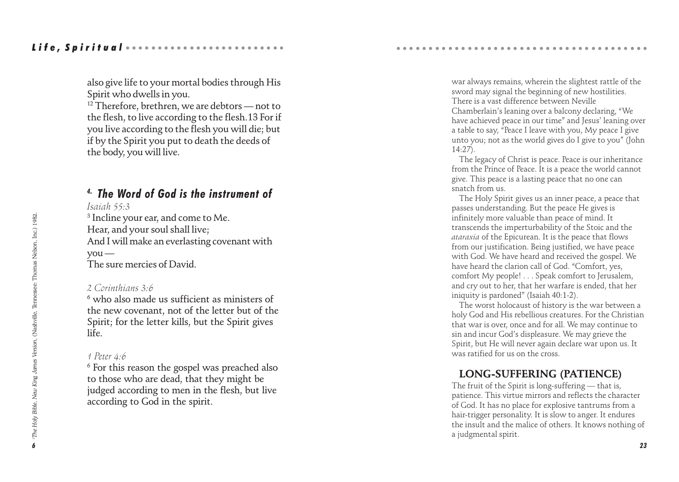also give life to your mortal bodies through His Spirit who dwells in you.

 $12$  Therefore, brethren, we are debtors – not to the flesh, to live according to the flesh.13 For if you live according to the flesh you will die; but if by the Spirit you put to death the deeds of the body, you will live.

### *4. The Word of God is the instrument of*

*Isaiah 55:3*

 $^3$  Incline your ear, and come to Me. Hear, and your soul shall live; And I will make an everlasting covenant with  $\overline{V}$ <sup>OU</sup> The sure mercies of David.

#### *2 Corinthians 3:6*

 $^6$  who also made us sufficient as ministers of the new covenant, not of the letter but of the Spirit; for the letter kills, but the Spirit gives life.

#### *1 Peter 4:6*

 $^6$  For this reason the gospel was preached also to those who are dead, that they might be judged according to men in the flesh, but live according to God in the spirit.

war always remains, wherein the slightest rattle of the sword may signal the beginning of new hostilities. There is a vast difference between Neville Chamberlain's leaning over a balcony declaring, "We have achieved peace in our time" and Jesus' leaning over a table to say, "Peace I leave with you, My peace I give unto you; not as the world gives do I give to you" (John  $14.27$ 

○○○○○○○○○○○○○○○○○○○○○○○○○○○○○○○○○○ ○○○○○

The legacy of Christ is peace. Peace is our inheritance from the Prince of Peace. It is a peace the world cannot give. This peace is a lasting peace that no one can snatch from us.

The Holy Spirit gives us an inner peace, a peace that passes understanding. But the peace He gives is infinitely more valuable than peace of mind. It transcends the imperturbability of the Stoic and the *ataraxia* of the Epicurean. It is the peace that flows from our justification. Being justified, we have peace with God. We have heard and received the gospel. We have heard the clarion call of God. "Comfort, yes, comfort My people! . . . Speak comfort to Jerusalem, and cry out to her, that her warfare is ended, that her iniquity is pardoned" (Isaiah 40:1-2).

The worst holocaust of history is the war between a holy God and His rebellious creatures. For the Christian that war is over, once and for all. We may continue to sin and incur God's displeasure. We may grieve the Spirit, but He will never again declare war upon us. It was ratified for us on the cross.

### **LONG-SUFFERING (PATIENCE)**

The fruit of the Spirit is long-suffering — that is, patience. This virtue mirrors and reflects the character of God. It has no place for explosive tantrums from a hair-trigger personality. It is slow to anger. It endures the insult and the malice of others. It knows nothing of a judgmental spirit.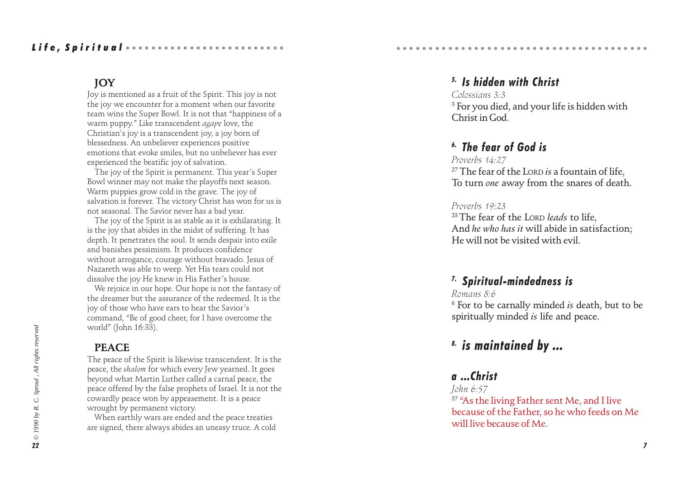### **JOY**

Joy is mentioned as a fruit of the Spirit. This joy is not the joy we encounter for a moment when our favorite team wins the Super Bowl. It is not that "happiness of a warm puppy." Like transcendent *agape* love, the Christian's joy is a transcendent joy, a joy born of blessedness. An unbeliever experiences positive emotions that evoke smiles, but no unbeliever has ever experienced the beatific joy of salvation.

The joy of the Spirit is permanent. This year's Super Bowl winner may not make the playoffs next season. Warm puppies grow cold in the grave. The joy of salvation is forever. The victory Christ has won for us is not seasonal. The Savior never has a bad year.

The joy of the Spirit is as stable as it is exhilarating. It is the joy that abides in the midst of suffering. It has depth. It penetrates the soul. It sends despair into exile and banishes pessimism. It produces confidence without arrogance, courage without bravado. Jesus of Nazareth was able to weep. Yet His tears could not dissolve the joy He knew in His Father's house.

We rejoice in our hope. Our hope is not the fantasy of the dreamer but the assurance of the redeemed. It is the joy of those who have ears to hear the Savior's command, "Be of good cheer, for I have overcome the world" (John 16:33).

#### **PEACE**

The peace of the Spirit is likewise transcendent. It is the peace, the *shalom* for which every Jew yearned. It goes beyond what Martin Luther called a carnal peace, the peace offered by the false prophets of Israel. It is not the cowardly peace won by appeasement. It is a peace wrought by permanent victory.

When earthly wars are ended and the peace treaties are signed, there always abides an uneasy truce. A cold

### *5. Is hidden with Christ*

○○○○○○○○○○○○○○○○○○○○○○○○○○○○○○○○○○ ○○○○○

*Colossians 3:3* 3 For you died, and your life is hidden with Christ in God.

#### *6. The fear of God is*

*Proverbs 14:27* 27 The fear of the LORD *is* a fountain of life, To turn *one* away from the snares of death.

#### *Proverbs 19:23*

23 The fear of the LORD *leads* to life, And *he who has it* will abide in satisfaction; He will not be visited with evil.

### *7. Spiritual-mindedness is*

#### *Romans 8:6*

6 For to be carnally minded *is* death, but to be spiritually minded *is* life and peace.

# *8. is maintained by ...*

### *a ...Christ*

*John 6:57* <sup>57</sup> "As the living Father sent Me, and I live because of the Father, so he who feeds on Me will live because of Me.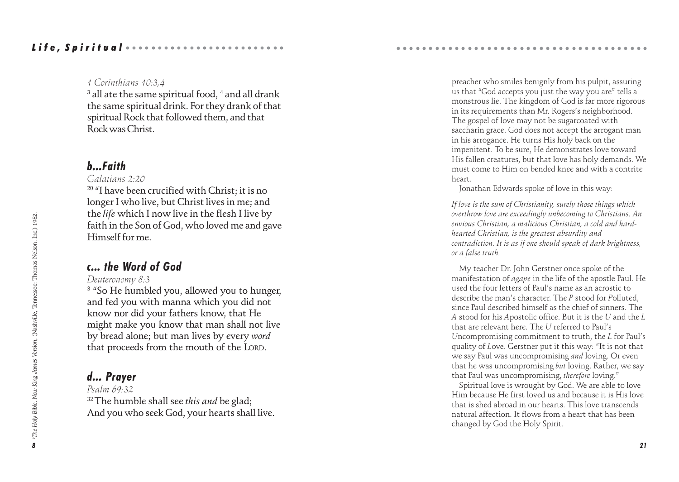#### *1 Corinthians 10:3,4*

 $^{\rm 3}$  all ate the same spiritual food,  $^{\rm 4}$  and all drank the same spiritual drink. For they drank of that spiritual Rock that followed them, and that Rock was Christ.

### *b...Faith*

*Galatians 2:20*

<sup>20</sup> "I have been crucified with Christ: it is no longer I who live, but Christ lives in me; and the *life* which I now live in the flesh I live by faith in the Son of God, who loved me and gave Himself for me.

### *c... the Word of God*

*Deuteronomy 8:3*

3 "So He humbled you, allowed you to hunger, and fed you with manna which you did not know nor did your fathers know, that He might make you know that man shall not live by bread alone; but man lives by every *word* that proceeds from the mouth of the LORD.

# *d... Prayer*

*Psalm 69:32* 32 The humble shall see *this and* be glad; And you who seek God, your hearts shall live. preacher who smiles benignly from his pulpit, assuring us that "God accepts you just the way you are" tells a monstrous lie. The kingdom of God is far more rigorous in its requirements than Mr. Rogers's neighborhood. The gospel of love may not be sugarcoated with saccharin grace. God does not accept the arrogant man in his arrogance. He turns His holy back on the impenitent. To be sure, He demonstrates love toward His fallen creatures, but that love has holy demands. We must come to Him on bended knee and with a contrite heart.

Jonathan Edwards spoke of love in this way:

○○○○○○○○○○○○○○○○○○○○○○○○○○○○○○○○○○ ○○○○○

*If love is the sum of Christianity, surely those things which overthrow love are exceedingly unbecoming to Christians. An envious Christian, a malicious Christian, a cold and hardhearted Christian, is the greatest absurdity and contradiction. It is as if one should speak of dark brightness, or a false truth.*

My teacher Dr. John Gerstner once spoke of the manifestation of *agape* in the life of the apostle Paul. He used the four letters of Paul's name as an acrostic to describe the man's character. The *P* stood for *P*olluted, since Paul described himself as the chief of sinners. The *A* stood for his *A*postolic office. But it is the *U* and the *L* that are relevant here. The *U* referred to Paul's *U*ncompromising commitment to truth, the *L* for Paul's quality of *L*ove. Gerstner put it this way: "It is not that we say Paul was uncompromising *and* loving. Or even that he was uncompromising *but* loving. Rather, we say that Paul was uncompromising, *therefore* loving."

Spiritual love is wrought by God. We are able to love Him because He first loved us and because it is His love that is shed abroad in our hearts. This love transcends natural affection. It flows from a heart that has been changed by God the Holy Spirit.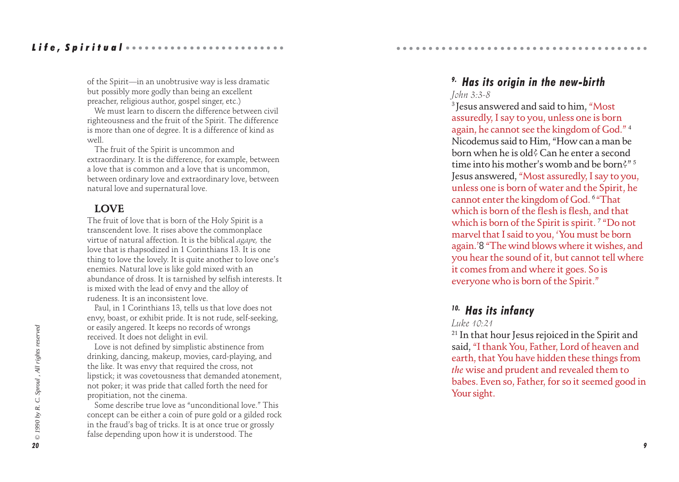of the Spirit—in an unobtrusive way is less dramatic but possibly more godly than being an excellent preacher, religious author, gospel singer, etc.)

We must learn to discern the difference between civil righteousness and the fruit of the Spirit. The difference is more than one of degree. It is a difference of kind as well.

The fruit of the Spirit is uncommon and extraordinary. It is the difference, for example, between a love that is common and a love that is uncommon, between ordinary love and extraordinary love, between natural love and supernatural love.

### **LOVE**

The fruit of love that is born of the Holy Spirit is a transcendent love. It rises above the commonplace virtue of natural affection. It is the biblical *agape,* the love that is rhapsodized in 1 Corinthians 13. It is one thing to love the lovely. It is quite another to love one's enemies. Natural love is like gold mixed with an abundance of dross. It is tarnished by selfish interests. It is mixed with the lead of envy and the alloy of rudeness. It is an inconsistent love.

Paul, in 1 Corinthians 13, tells us that love does not envy, boast, or exhibit pride. It is not rude, self-seeking, or easily angered. It keeps no records of wrongs received. It does not delight in evil.

Love is not defined by simplistic abstinence from drinking, dancing, makeup, movies, card-playing, and the like. It was envy that required the cross, not lipstick; it was covetousness that demanded atonement, not poker; it was pride that called forth the need for propitiation, not the cinema.

Some describe true love as "unconditional love." This concept can be either a coin of pure gold or a gilded rock in the fraud's bag of tricks. It is at once true or grossly false depending upon how it is understood. The

#### *9. Has its origin in the new-birth John 3:3-8*

○○○○○○○○○○○○○○○○○○○○○○○○○○○○○○○○○○ ○○○○○

<sup>3</sup> Jesus answered and said to him, "Most assuredly, I say to you, unless one is born again, he cannot see the kingdom of God." <sup>4</sup> Nicodemus said to Him, "How can a man be born when he is old? Can he enter a second time into his mother's womb and be born?" 5 Jesus answered, "Most assuredly, I say to you, unless one is born of water and the Spirit, he cannot enter the kingdom of God. <sup>6</sup> "That which is born of the flesh is flesh, and that which is born of the Spirit is spirit. <sup>7</sup> "Do not marvel that I said to you, 'You must be born again.'8 "The wind blows where it wishes, and you hear the sound of it, but cannot tell where it comes from and where it goes. So is everyone who is born of the Spirit."

### *10. Has its infancy*

#### *Luke 10:21*

<sup>21</sup> In that hour Jesus rejoiced in the Spirit and said, "I thank You, Father, Lord of heaven and earth, that You have hidden these things from *the* wise and prudent and revealed them to babes. Even so, Father, for so it seemed good in Your sight.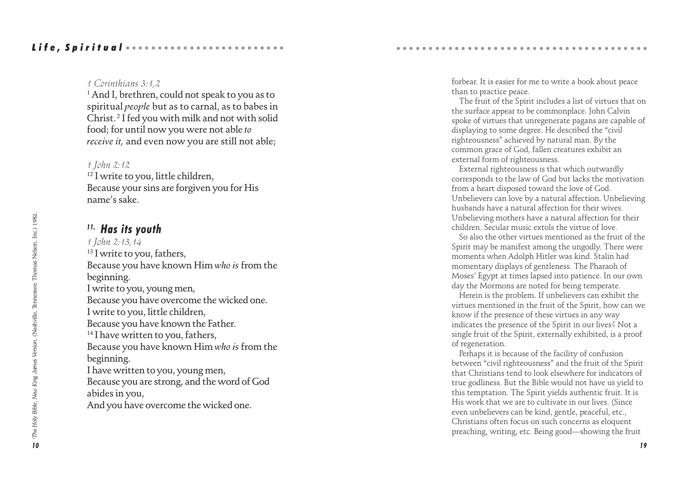#### *1 Corinthians 3:1,2*

1 And I, brethren, could not speak to you as to spiritual *people* but as to carnal, as to babes in Christ. 2 I fed you with milk and not with solid food; for until now you were not able *to receive it,* and even now you are still not able;

#### *1 John 2:12*

<sup>12</sup> I write to you, little children, Because your sins are forgiven you for His name's sake.

### *11. Has its youth*

*1 John 2:13,14* <sup>13</sup> I write to you, fathers, Because you have known Him *who is* from the beginning. I write to you, young men, Because you have overcome the wicked one. I write to you, little children, Because you have known the Father. <sup>14</sup> I have written to you, fathers, Because you have known Him *who is* from the beginning. I have written to you, young men, Because you are strong, and the word of God abides in you, And you have overcome the wicked one.

forbear. It is easier for me to write a book about peace than to practice peace.

○○○○○○○○○○○○○○○○○○○○○○○○○○○○○○○○○○ ○○○○○

The fruit of the Spirit includes a list of virtues that on the surface appear to be commonplace. John Calvin spoke of virtues that unregenerate pagans are capable of displaying to some degree. He described the "civil righteousness" achieved by natural man. By the common grace of God, fallen creatures exhibit an external form of righteousness.

External righteousness is that which outwardly corresponds to the law of God but lacks the motivation from a heart disposed toward the love of God. Unbelievers can love by a natural affection. Unbelieving husbands have a natural affection for their wives. Unbelieving mothers have a natural affection for their children. Secular music extols the virtue of love.

So also the other virtues mentioned as the fruit of the Spirit may be manifest among the ungodly. There were moments when Adolph Hitler was kind. Stalin had momentary displays of gentleness. The Pharaoh of Moses' Egypt at times lapsed into patience. In our own day the Mormons are noted for being temperate.

Herein is the problem. If unbelievers can exhibit the virtues mentioned in the fruit of the Spirit, how can we know if the presence of these virtues in any way indicates the presence of the Spirit in our lives? Not a single fruit of the Spirit, externally exhibited, is a proof of regeneration.

Perhaps it is because of the facility of confusion between "civil righteousness" and the fruit of the Spirit that Christians tend to look elsewhere for indicators of true godliness. But the Bible would not have us yield to this temptation. The Spirit yields authentic fruit. It is His work that we are to cultivate in our lives. (Since even unbelievers can be kind, gentle, peaceful, etc., Christians often focus on such concerns as eloquent preaching, writing, etc. Being good—showing the fruit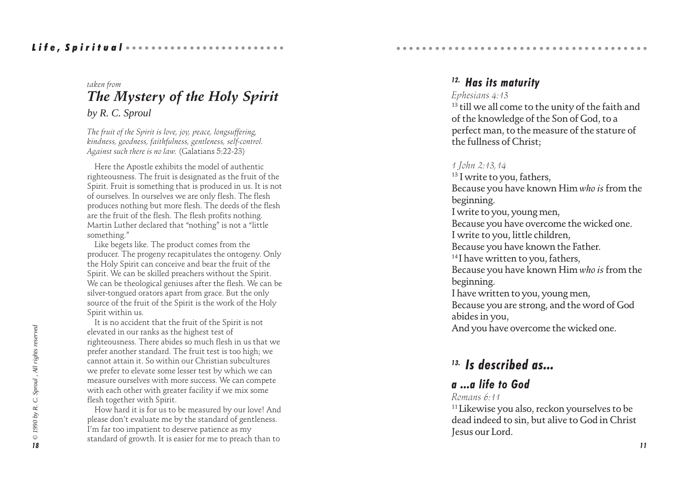# *taken from The Mystery of the Holy Spirit*

*by R. C. Sproul*

*The fruit of the Spirit is love, joy, peace, longsuffering, kindness, goodness, faithfulness, gentleness, self-control. Against such there is no law.* (Galatians 5:22-23)

Here the Apostle exhibits the model of authentic righteousness. The fruit is designated as the fruit of the Spirit. Fruit is something that is produced in us. It is not of ourselves. In ourselves we are only flesh. The flesh produces nothing but more flesh. The deeds of the flesh are the fruit of the flesh. The flesh profits nothing. Martin Luther declared that "nothing" is not a "little something."

Like begets like. The product comes from the producer. The progeny recapitulates the ontogeny. Only the Holy Spirit can conceive and bear the fruit of the Spirit. We can be skilled preachers without the Spirit. We can be theological geniuses after the flesh. We can be silver-tongued orators apart from grace. But the only source of the fruit of the Spirit is the work of the Holy Spirit within us.

It is no accident that the fruit of the Spirit is not elevated in our ranks as the highest test of righteousness. There abides so much flesh in us that we prefer another standard. The fruit test is too high; we cannot attain it. So within our Christian subcultures we prefer to elevate some lesser test by which we can measure ourselves with more success. We can compete with each other with greater facility if we mix some flesh together with Spirit.

How hard it is for us to be measured by our love! And please don't evaluate me by the standard of gentleness. I'm far too impatient to deserve patience as my standard of growth. It is easier for me to preach than to

# *12. Has its maturity*

○○○○○○○○○○○○○○○○○○○○○○○○○○○○○○○○○○ ○○○○○

### *Ephesians 4:13*

<sup>13</sup> till we all come to the unity of the faith and of the knowledge of the Son of God, to a perfect man, to the measure of the stature of the fullness of Christ;

#### *1 John 2:13,14*

<sup>13</sup> I write to you, fathers, Because you have known Him *who is* from the beginning. I write to you, young men, Because you have overcome the wicked one. I write to you, little children, Because you have known the Father. <sup>14</sup> I have written to you, fathers, Because you have known Him *who is* from the beginning. I have written to you, young men, Because you are strong, and the word of God abides in you, And you have overcome the wicked one.

# *13. Is described as...*

# *a ...a life to God*

#### *Romans 6:11*

<sup>11</sup> Likewise you also, reckon yourselves to be dead indeed to sin, but alive to God in Christ Jesus our Lord.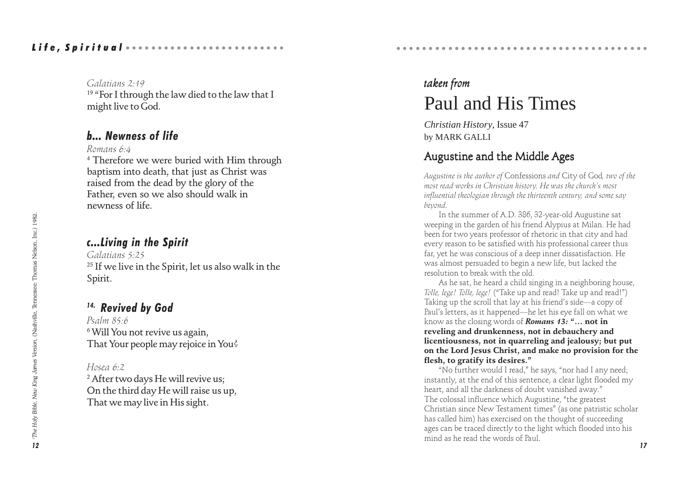### Life, Spiritual •••••••••••••••••••

*Galatians 2:19* <sup>19</sup> "For I through the law died to the law that I might live to God.

### *b... Newness of life*

*Romans 6:4*

4 Therefore we were buried with Him through baptism into death, that just as Christ was raised from the dead by the glory of the Father, even so we also should walk in newness of life.

# *c...Living in the Spirit*

*Galatians 5:25*  $25$  If we live in the Spirit, let us also walk in the Spirit.

### *14. Revived by God*

*Psalm 85:6* 6 Will You not revive us again, That Your people may rejoice in You?

#### *Hosea 6:2*

2 After two days He will revive us; On the third day He will raise us up, That we may live in His sight.

# *taken from* Paul and His Times

○○○○○○○○○○○○○○○○○○○○○○○○○○○○○○○○○○ ○○○○○

*Christian History*, Issue 47 by MARK GALLI

# Augustine and the Middle Ages

*Augustine is the author of* Confessions *and* City of God*, two of the most read works in Christian history. He was the church's most influential theologian through the thirteenth century, and some say beyond.*

In the summer of A.D. 386, 32-year-old Augustine sat weeping in the garden of his friend Alypius at Milan. He had been for two years professor of rhetoric in that city and had every reason to be satisfied with his professional career thus far, yet he was conscious of a deep inner dissatisfaction. He was almost persuaded to begin a new life, but lacked the resolution to break with the old.

As he sat, he heard a child singing in a neighboring house, *Tolle, lege! Tolle, lege!* ("Take up and read! Take up and read!") Taking up the scroll that lay at his friend's side—a copy of Paul's letters, as it happened—he let his eye fall on what we know as the closing words of *Romans 13:* **"… not in reveling and drunkenness, not in debauchery and licentiousness, not in quarreling and jealousy; but put on the Lord Jesus Christ, and make no provision for the flesh, to gratify its desires."**

"No further would I read," he says, "nor had I any need; instantly, at the end of this sentence, a clear light flooded my heart, and all the darkness of doubt vanished away." The colossal influence which Augustine, "the greatest Christian since New Testament times" (as one patristic scholar has called him) has exercised on the thought of succeeding ages can be traced directly to the light which flooded into his mind as he read the words of Paul.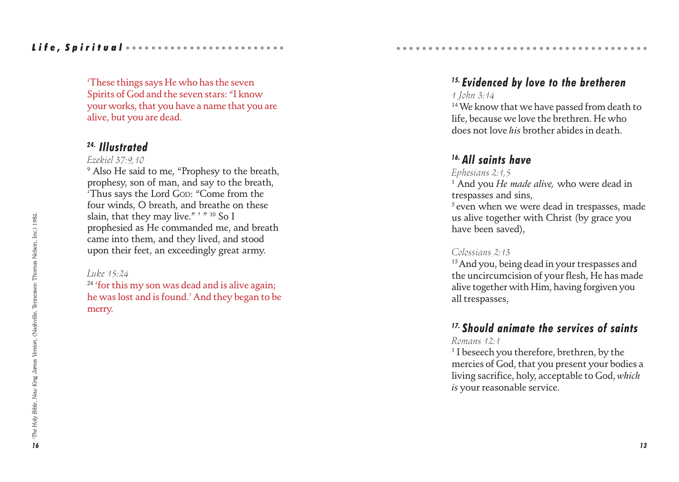'These things says He who has the seven Spirits of God and the seven stars: "I know your works, that you have a name that you are alive, but you are dead.

### *24. Illustrated*

*Ezekiel 37:9,10*

9 Also He said to me, "Prophesy to the breath, prophesy, son of man, and say to the breath, 'Thus says the Lord GOD: "Come from the four winds, O breath, and breathe on these slain, that they may live." ' " 10 So I prophesied as He commanded me, and breath came into them, and they lived, and stood upon their feet, an exceedingly great army.

*Luke 15:24*

<sup>24</sup> 'for this my son was dead and is alive again; he was lost and is found.' And they began to be merry.

# *15. Evidenced by love to the bretheren*

○○○○○○○○○○○○○○○○○○○○○○○○○○○○○○○○○○ ○○○○○

### *1 John 3:14*

<sup>14</sup> We know that we have passed from death to life, because we love the brethren. He who does not love *his* brother abides in death.

### *16. All saints have*

### *Ephesians 2:1,5*

1 And you *He made alive,* who were dead in trespasses and sins,

<sup>5</sup> even when we were dead in trespasses, made us alive together with Christ (by grace you have been saved),

#### *Colossians 2:13*

<sup>13</sup> And you, being dead in your trespasses and the uncircumcision of your flesh, He has made alive together with Him, having forgiven you all trespasses,

# *17. Should animate the services of saints*

#### *Romans 12:1*

<sup>1</sup> I beseech you therefore, brethren, by the mercies of God, that you present your bodies a living sacrifice, holy, acceptable to God, *which is* your reasonable service.